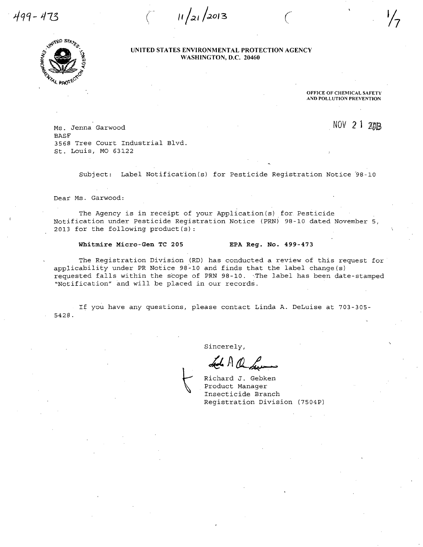499-473

UNITED STATES ENVIRONMENTAL PROTECTION AGENCY WASHINGTON, D.C. 20460

 $11/21/2013$ 



OFFICE OF CHEMICAL SAFETY AND POLLUTION PREVENTION

NOV 21

Ms . Jenna Garwood BASF 3568 Tree Court Industrial Blvd. St. Louis, MO 63122

Subject: Label Notification (s) for Pesticide Registration Notice '98-10

Dear Ms. Garwood:

The Agency is in receipt of your Application (s) for. Pesticide Notification under Pesticide Registration Notice (PRN) 98-10 dated November 5, 2013 for the following product (s) :

#### Whitmire Micro-Gen TC 205 EPA Reg. No. 499-473

The Registration Division (RD) has conducted a review of this request for applicability under PR Notice 98-10 and finds that the label change (s) requested falls within the scope of PRN 98-10. The label has been date-stamped "Notification" and will be placed in our records.

If you have any questions, please contact Linda A. DeLuise at 703-305- 5428.

Sincerely,

Richard J. Gebken Product Manager Insecticide Branch Registration Division (7504P)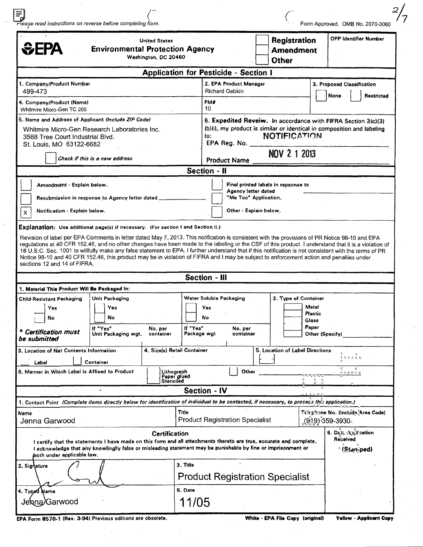| Piease read instructions on reverse before completing form.                                                                                                                                                                                                                                                                                                                                                                                                                                 |                                                                                                                                                |                                                         |                  | Form Approved. OMB No. 2070-0060                                       |
|---------------------------------------------------------------------------------------------------------------------------------------------------------------------------------------------------------------------------------------------------------------------------------------------------------------------------------------------------------------------------------------------------------------------------------------------------------------------------------------------|------------------------------------------------------------------------------------------------------------------------------------------------|---------------------------------------------------------|------------------|------------------------------------------------------------------------|
| <b>United States</b><br><b>SEPA</b><br><b>Environmental Protection Agency</b><br>Washington, DC 20460                                                                                                                                                                                                                                                                                                                                                                                       |                                                                                                                                                | <b>Registration</b><br><b>Amendment</b><br><b>Other</b> |                  | <b>OPP Identifier Number</b>                                           |
|                                                                                                                                                                                                                                                                                                                                                                                                                                                                                             | <b>Application for Pesticide - Section I</b>                                                                                                   |                                                         |                  |                                                                        |
| 1. Company/Product Number                                                                                                                                                                                                                                                                                                                                                                                                                                                                   | 2. EPA Product Manager                                                                                                                         |                                                         |                  | 3. Proposed Classification                                             |
| 499-473                                                                                                                                                                                                                                                                                                                                                                                                                                                                                     | <b>Richard Gebkin</b>                                                                                                                          |                                                         |                  | Restricted<br>None                                                     |
| 4. Company/Product (Name)<br>Whitmire Micro-Gen TC 205                                                                                                                                                                                                                                                                                                                                                                                                                                      | PM#<br>10                                                                                                                                      |                                                         |                  |                                                                        |
| 5. Name and Address of Applicant (Include ZIP Code)                                                                                                                                                                                                                                                                                                                                                                                                                                         |                                                                                                                                                |                                                         |                  | 6. Expedited Reveiw. In accordance with FIFRA Section 3(c)(3)          |
| Whitmire Micro-Gen Research Laboratories Inc.<br>3568 Tree Court Industrial Blvd.<br>St. Louis, MO 63122-6682                                                                                                                                                                                                                                                                                                                                                                               | to:<br>EPA Reg. No.                                                                                                                            | <b>NOTIFICATION</b>                                     |                  | (b)(i), my product is similar or identical in composition and labeling |
| Check if this is a new address                                                                                                                                                                                                                                                                                                                                                                                                                                                              | <b>Product Name</b>                                                                                                                            | NOV 2 1 2013                                            |                  |                                                                        |
|                                                                                                                                                                                                                                                                                                                                                                                                                                                                                             | Section - II                                                                                                                                   |                                                         |                  |                                                                        |
| Amendment - Explain below.<br>Resubmission in response to Agency letter dated                                                                                                                                                                                                                                                                                                                                                                                                               | <b>Agency letter dated</b><br>"Me Too" Application.                                                                                            | Final printed labels in repsonse to                     |                  |                                                                        |
| Notification - Explain below.<br>$\mathsf{x}$                                                                                                                                                                                                                                                                                                                                                                                                                                               | Other - Explain below.                                                                                                                         |                                                         |                  |                                                                        |
|                                                                                                                                                                                                                                                                                                                                                                                                                                                                                             | Revision of label per EPA Comments in letter dated May 7, 2013. This notification is consistent with the provisions of PR Notice 98-10 and EPA |                                                         |                  |                                                                        |
| regulations at 40 CFR 152.46, and no other changes have been made to the labeling or the CSF of this product. I understand that it is a violation of<br>18 U.S.C. Sec. 1001 to willfully make any false statement to EPA. I further understand that if this notification is not consistent with the terms of PR<br>Notice 98-10 and 40 CFR 152.46, this product may be in violation of FIFRA and I may be subject to enforcement action and penalties under<br>sections 12 and 14 of FIFRA. |                                                                                                                                                |                                                         |                  |                                                                        |
|                                                                                                                                                                                                                                                                                                                                                                                                                                                                                             | <b>Section - III</b>                                                                                                                           |                                                         |                  |                                                                        |
| 1. Material This Product Will Be Packaged In:                                                                                                                                                                                                                                                                                                                                                                                                                                               |                                                                                                                                                |                                                         |                  |                                                                        |
| Unit Packaging                                                                                                                                                                                                                                                                                                                                                                                                                                                                              | Water Soluble Packaging                                                                                                                        | 2. Type of Container                                    |                  |                                                                        |
| Yes<br>Yes                                                                                                                                                                                                                                                                                                                                                                                                                                                                                  | Yes                                                                                                                                            |                                                         | Metal<br>Plastic |                                                                        |
| No<br>No                                                                                                                                                                                                                                                                                                                                                                                                                                                                                    | No                                                                                                                                             |                                                         | Glass<br>Paper   |                                                                        |
| If "Yes"<br>No. per<br><b>Certification must</b><br>Unit Packaging wgt.<br>container                                                                                                                                                                                                                                                                                                                                                                                                        | If "Yes"<br>No. per<br>Package wgt<br>container                                                                                                |                                                         | Other (Specify)  |                                                                        |
|                                                                                                                                                                                                                                                                                                                                                                                                                                                                                             | 4. Size(s) Retail Container                                                                                                                    | 5. Location of Label Directions                         |                  |                                                                        |
| Container<br>Label                                                                                                                                                                                                                                                                                                                                                                                                                                                                          |                                                                                                                                                |                                                         |                  | ιτιτί                                                                  |
|                                                                                                                                                                                                                                                                                                                                                                                                                                                                                             | Other<br>Lithograph                                                                                                                            |                                                         |                  | с<br>$C$ o o o $C$ o                                                   |
|                                                                                                                                                                                                                                                                                                                                                                                                                                                                                             | Paper glued<br>Stenciled                                                                                                                       |                                                         | $c - c$          |                                                                        |
| <b>Child-Resistant Packaging</b><br>be submitted<br>3. Location of Net Contents Information<br>6. Manner in Which Label is Affixed to Product                                                                                                                                                                                                                                                                                                                                               | <b>Section - IV</b>                                                                                                                            |                                                         |                  |                                                                        |
|                                                                                                                                                                                                                                                                                                                                                                                                                                                                                             | Title                                                                                                                                          |                                                         |                  | Telephone No. (Include Area Code)                                      |
| 1. Contact Point (Complete items directly below for identification of individual to be contacted, if necessary, to process this epplication.)<br>Name<br>Jenna Garwood                                                                                                                                                                                                                                                                                                                      | <b>Product Registration Specialist</b>                                                                                                         |                                                         |                  | <u>့(</u> 9ွ19) ဒ59-3930                                               |
| <b>Certification</b><br>I certify that the statements I have made on this form and all attachments thereto are true, accurate and complete,<br>I acknowledge that any knowlingily false or misleading statement may be punishable by fine or imprisonment or<br>poth under applicable law.                                                                                                                                                                                                  |                                                                                                                                                |                                                         |                  | 6. Det $\Delta$ persation<br>Received<br>'(Staniped)                   |
| 2. Signature                                                                                                                                                                                                                                                                                                                                                                                                                                                                                | 3. Title                                                                                                                                       |                                                         |                  |                                                                        |
| 4. Typed Name                                                                                                                                                                                                                                                                                                                                                                                                                                                                               | <b>Product Registration Specialist</b><br>5. Date                                                                                              |                                                         |                  |                                                                        |

EPA Form 8570-1 (Rev. 3-94I Previous editions are obsolete. White - EPA File Copy (original) Yellow • Applicant Copy

 $\frac{1}{2}$  $\bar{\lambda}$ 

 $\bar{\beta}$ 

 $\bar{z}$ 

 $\cdot$ 

 $\mathbf{r}$ 

 $\bar{z}$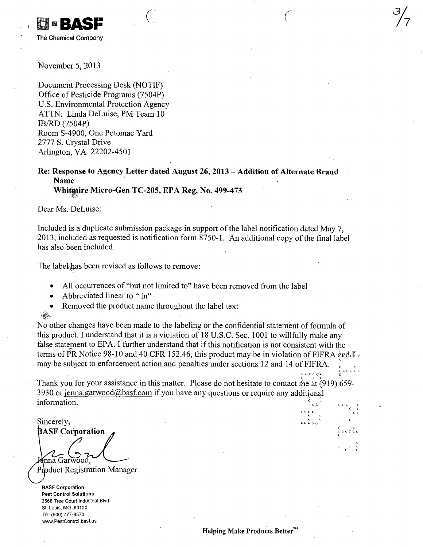

November 5, 2013

Document Processing Desk (MOTIF) Office of Pesticide Programs (7504P) U.S. Environmental Protection Agency ATTN: Linda DeLuise, PM Team 10 IB/RD (7504P) Room S-4900, One Potomac Yard 2777 S. Crystal Drive Arlington, VA 22202-4501

## Re: Response to Agency Letter dated August 26, 2013 - Addition of Alternate Brand Name Whitmire Micro-Gen TC-205, EPA Reg. No. 499-473

 $\begin{array}{ccc} \begin{array}{ccc} \begin{array}{ccc} \end{array} & & \begin{array}{ccc} \end{array} & & \begin{array}{ccc} \end{array} & \begin{array}{ccc} \end{array} & \begin{array}{ccc} \end{array} & \begin{array}{ccc} \end{array} & \begin{array}{ccc} \end{array} & \begin{array}{ccc} \end{array} & \begin{array}{ccc} \end{array} & \begin{array}{ccc} \end{array} & \begin{array}{ccc} \end{array} & \begin{array}{ccc} \end{array} & \begin{array}{ccc} \end{array} & \begin{array}{ccc} \end{array} & \begin{array}{ccc} \end{array} & \begin{array}{ccc} \end$ 

Dear Ms. DeLuise:

Included is a duplicate submission package in support of the label notification dated May 7, 2013, included as requested is notification form 8750-1. An additional copy of the final label has also been included.

The label has been revised as follows to remove:

All occurrences of "but not limited to" have been removed from the label

- Abbreviated linear to " ln"
- Removed the product name throughout the label text

 $i \in \mathbb{R}$ 

No other changes have been made to the labeling or the confidential statement of formula of this product. I understand that it is a violation of 18 U.S.C. Sec. 1001 to willfully make any false statement to EPA. I further understand that if this notification is not consistent with the terms of PR Notice 98-10 and 40 CFR 152.46, this product may be in violation of FIFRA  $\epsilon_{\rm F}$ dd $\epsilon_{\rm c}$ may be subject to enforcement action and penalties under sections 12 and 14 of FIFRA.

Thank you for your assistance in this matter. Please do not hesitate to contact me at (919) 659-3930 or jenna.garwood@basf.com if you have any questions or require any additional information. contract to the contract of the contract of the contract of the contract of the contract of the contract of the , c<br>.c cc c

Sincerely, **BASF Corporation** mna Garwood, Product Registration Manager

BASF Corporation Pest Control Solutions 3568 Tree Court Industrial Blvd. St. Louis, MO 63122 Tel: (800) 777-8570 www.PestControl.basf.us

L I- C C C (,

C c

.<br>. σε σέσ

c c c c c c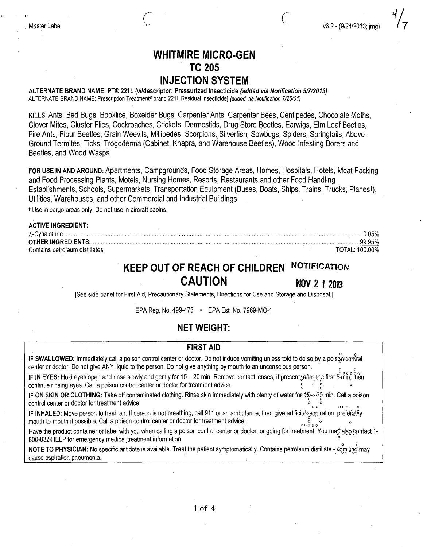$\frac{4}{7}$ <br>v6.2 - (9/24/2013; jmg)

## WHITMIRE MICRO-GEN TC205 INJECTION SYSTEM

 $\mathcal{C}$  and  $\mathcal{C}$ restaurant de la Company de la Company de la Company de la Company de la Company de la Company de la Company d<br>La company de la Company de la Company de la Company de la Company de la Company de la Company de la Company d

ALTERNATE BRAND NAME: PT® 221L (w/descriptor: Pressurized Insecticide {added via Notification 5/7/2013} ALTERNATE BRAND NAME: Prescription Treatment® brand 221L Residual Insecticide] {added via Notification 7/25/01}

KILLS: Ants, Bed Bugs, Booklice, Boxelder Bugs, Carpenter Ants, Carpenter Bees, Centipedes, Chocolate Moths, Clover Mites, Cluster Flies, Cockroaches, Crickets, Dermestids, Drug Store Beetles, Earwigs, Elm Leaf Beetles, Fire Ants, Flour Beetles, Grain Weevils, Millipedes, Scorpions, Silverfish, Sowbugs, Spiders, Springtails, Above-Ground Termites, Ticks, Trogoderma (Cabinet, Khapra, and Warehouse Beetles), Wood Infesting Borers and Beetles, and Wood Wasps

FOR USE IN AND AROUND: Apartments, Campgrounds, Food Storage Areas, Homes, Hospitals, Hotels, Meat Packing and Food Processing Plants, Motels, Nursing Homes, Resorts, Restaurants and other Food Handling Establishments, Schools, Supermarkets, Transportation Equipment (Buses, Boats, Ships, Trains, Trucks, PlanesT), Utilities, Warehouses, and other Commercial and Industrial Buildings

t Use in cargo areas only. Do not use in aircraft cabins.

## ACTIVE INGREDIENT: X-Cyhalothrin 0.05% OTHER INGREDIENTS: '. 99.95% Contains petroleum distillates. TOTAL: 100.00%

# KEEP OUT OF REACH OF CHILDREN NOTIFICATION CAUTION NOV 2 1 2013

[See side panel for First Aid, Precautionary Statements, Directions for Use and Storage and Disposal.]

EPA Reg. No. 499-473 • EPA Est. No. 7969-MO-1

## NET WEIGHT:

## FIRST AID

IF SWALLOWED: Immediately call a poison control center or doctor. Do not induce vomiting unless told to do so-by a poiscontrol center or doctor. Do not give ANY liquid to the person. Do not give anything by mouth to an unconscious person.

IF IN EYES: Hold eyes open and rinse slowly and gently for 15 - 20 min. Remove contact lenses, if present, after the first  $5^{\circ}$ mm, then continue rinsing eyes. Call a poison control center or doctor for treatment advice.

IF ON SKIN OR CLOTHING: Take off contaminated clothing. Rinse skin immediately with plenty of water for  $\ell$  - 20 min. Call a poison control center or doctor for treatment advice. CO C I. G c

IF INHALED: Move person to fresh air. If person is not breathing, call 911 or an ambulance, then give artificial respiration, preferely mouth-to-mouth if possible. Call a poison control center or doctor for treatment advice.  $\frac{c}{c}$  control  $\frac{c}{c}$  or  $\frac{c}{c}$  control center or doctor for treatment advice.

Have the product container or label with you when calling a poison control center or doctor, or going for treatment. You mag also gontact 1-800-832-HELP for emergency medical treatment information.

on<br>NOTE TO PHYSICIAN: No specific antidote is available. Treat the patient symptomatically. Contains petroleum distillate - vomiting may cause aspiration pneumonia.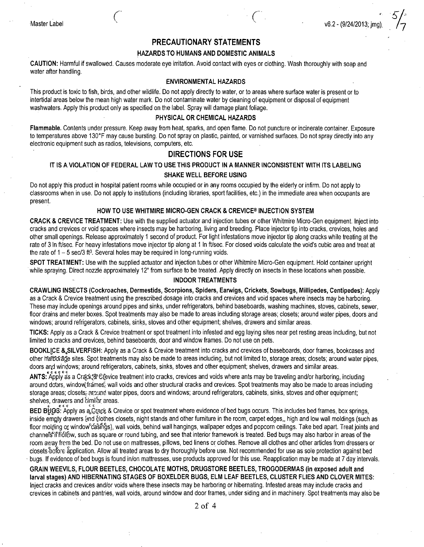## PRECAUTIONARY STATEMENTS

#### HAZARDS TO HUMANS AND DOMESTIC ANIMALS

CAUTION: Harmful if swallowed. Causes moderate eye irritation. Avoid contact with eyes or clothing. Wash thoroughly with soap and water after handling.

#### ENVIRONMENTAL HAZARDS

This product is toxic to fish, birds, and other wildlife. Do not apply directly to water, or to areas where surface water is present or to intertidal areas below the mean high water mark. Do not contaminate water by cleaning of equipment or disposal of equipment washwaters: Apply this product only as specified on the label. Spray will damage plant foliage.

## PHYSICAL OR CHEMICAL HAZARDS

Flammable. Contents under pressure. Keep away from heat, sparks, and open flame. Do not puncture or incinerate container. Exposure to temperatures above 130°F may cause bursting. Do not spray on plastic, painted, or varnished surfaces. Do not spray directly into any electronic equipment such as radios, televisions, computers, etc.

## DIRECTIONS FOR USE

## IT IS A VIOLATION OF FEDERAL LAW TO USE THIS PRODUCT IN A MANNER INCONSISTENT WITH ITS LABELING SHAKE WELL BEFORE USING

Do not apply this product in hospital patient rooms while occupied or in any rooms occupied by the elderly or infirm. Do not apply to classrooms when in use. Do not apply to institutions (including libraries, sport facilities, etc.) in the immediate area when occupants are present.

## HOW TO USE WHITMIRE MICRO-GEN CRACK & CREVICE® INJECTION SYSTEM

CRACK & CREVICE TREATMENT: Use with the supplied actuator and injection tubes or other Whitmire Micro-Gen equipment. Inject into cracks and crevices or void spaces where insects may be harboring, living and breeding. Place injector tip into cracks, crevices, holes and other small openings. Release approximately 1 second of product. For light infestations move injector tip along cracks while treating at the rate of 3 In ft/sec. For heavy infestations move injector tip along at 11n ft/sec. For closed voids calculate the void's cubic area and treat at the rate of  $1 - 5$  sec/3 ft<sup>3</sup>. Several holes may be required in long-running voids.

SPOT TREATMENT: Use with the supplied actuator and injection tubes or other Whitmire Micro-Gen equipment. Hold container upright while spraying. Direct nozzle approximately 12" from surface to be treated. Apply directly on insects in these locations when possible.

#### INDOOR TREATMENTS

CRAWLING INSECTS (Cockroaches, Dermestids, Scorpions, Spiders, Earwigs, Crickets, Sowbugs, Millipedes, Centipedes): Apply as a Crack & Crevice treatment using the prescribed dosage into cracks and crevices and void spaces where insects may be harboring. These may include openings around pipes and sinks, under refrigerators, behind baseboards, washing machines, stoves, cabinets, sewer, floor drains and meter boxes. Spot treatments may also be made to areas including storage areas; closets: around water pipes, doors and windows; around refrigerators, cabinets, sinks, stoves and other equipment; shelves, drawers and similar areas.

TICKS: Apply as a Crack & Crevice treatment or spot treatment into infested and egg laying sites near pet resting areas including, but not limited to cracks and crevices, behind baseboards, door and window frames. Do not use on pets.

BOOKLICE & SILVERFISH: Apply as a Crack & Crevice treatment into cracks and crevices of baseboards, door frames, bookcases and other harborage sites. Spot treatments may also be made to areas including, but not limited to, storage areas; closets; around water pipes, doors aad windows; around refrigerators, cabinets, sinks, stoves and other equipment; shelves, drawers and similar areas.

ANTS: Apply as a Crack& Crevice treatment into cracks, crevices and voids where ants may be traveling and/or harboring, including around doors, window frames, wall voids and other structural cracks and crevices. Spot treatments may also be made to areas including storage areas; closets; around water pipes, doors and windows; around refrigerators, cabinets, sinks, stoves and other equipment; shelves, drawers and **bimilhr** areas.

BED Bွိုပြင်း ငန်းလုပ်ပြီး as a Crack & Crevice or spot treatment where evidence of bed bugs occurs. This includes bed frames, box springs, inside empty drawers and clothes closets, night stands and other furniture in the room, carpet edges,, high and low wall moldings (such as floor molding or window câsñĝs), wall voids, behind wall hangings, wallpaper edges and popcorn ceilings. Take bed apart. Treat joints and channefs if fidliow, such as square or round tubing, and see that interior framework is treated. Bed bugs may also harbor in areas of the room away frem the bed. Do not use on mattresses, pillows, bed linens or clothes. Remove all clothes and other articles from dressers or closets-before application. Allow all treated areas to dry thoroughly before use. Not recommended for use as sole protection against bed bugs. If evidence of bed bugs is found in/on mattresses, use products approved for this use. Reapplication may be made at 7 day intervals.

GRAIN WEEVILS, FLOUR BEETLES, CHOCOLATE MOTHS, DRUGSTORE BEETLES, TROGODERMAS (in exposed adult and larval stages) AND HIBERNATING STAGES OF BOXELDER BUGS, ELM LEAF BEETLES, CLUSTER FLIES AND CLOVER MITES: Inject cracks and crevices and/or voids where these insects may be harboring or hibernating. Infested areas may include cracks and crevices in cabinets and pantries, wall voids, around window and door frames, under siding and in machinery. Spot treatments may also be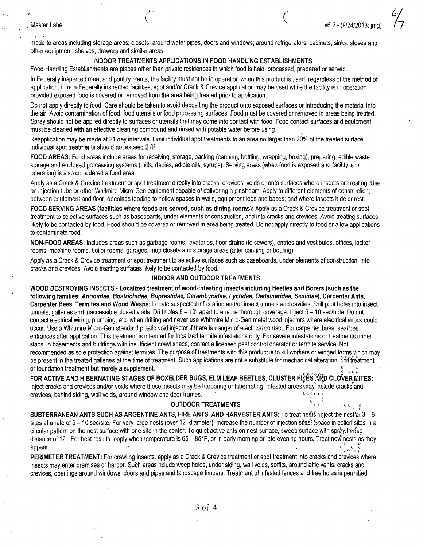#### Master Label

made to areas including storage areas; closets; around water pipes, doors and windows; around refrigerators, cabinets, sinks, stoves and other equipment; shelves, drawers and similar areas.

v6.2 - (9/24/2013; ima)

#### INDOOR TREATMENTS APPLICATIONS IN FOOD HANDLING ESTABLISHMENTS

Food Handling Establishments are places other than private residences in which food is held, processed, prepared or served.

 $\overline{\bigg\langle \overline{\bigg\rangle}}$ 

In Federally inspected meat and poultry plants, the facility must not be in operation when this product is used, regardless of the method of application. In non-Federally inspected facilities, spot and/or Crack & Crevice application may be used while the facility is in operation provided exposed food is covered or removed from the area being treated priof to application.

Do not apply directly to food. Care should be taken to avoid depositing the product onto exposed surfaces or introducing the material into the air. Avoid contamination of food, food utensils or food processing surfaces. Food must be covered or removed in areas being treated. Spray should not be applied directly to surfaces or utensils that may come into contact with food. Food contact surfaces and equipment must be cleaned with an effective cleaning compound and rinsed with potable water before using.

Reapplication may be made at 21 day intervals. Limit individual spot treatments to an area no larger than 20% of the treated surface. Individual spot treatments should not exceed 2 ft<sup>2</sup>.

FOOD AREAS: Food areas include areas for receiving, storage, packing (canning, bottling, wrapping, boxing), preparing, edible waste storage and enclosed processing systems (mills, dairies, edible oils, syrups). Serving areas (when food is exposed and facility is in operation) is also considered a food area.

Apply as a Crack & Crevice treatment or spot treatment directly into cracks, crevices, voids or onto surfaces where insects are resting. Use an injection tube or other Whitmire Micro-Gen equipment capable of delivering a pinstream. Apply to different elements of construction; between equipment and floor; openings leading to hollow spaces in walls, equipment legs and bases; and where insects hide or rest.

FOOD SERVING AREAS (facilities where foods are served, such as dining rooms): Apply as a Crack & Crevice treatment or spot treatment to selective surfaces such as baseboards, under elements of construction, and into cracks and crevices. Avoid treating surfaces likely to be contacted by food. Food should be covered or removed in area being treated. Do not apply directly to food or allow applications to contaminate food.

NON-FOOD AREAS: Includes areas such as garbage rooms, lavatories, floor drains (to sewers), entries and vestibules, offices, locker rooms, machine rooms, boiler rooms, garages, mop closets and storage areas (after canning or bottling).

Apply as a Crack & Crevice treatment or spot treatment to selective surfaces such as baseboards, under elements of construction, into cracks and crevices. Avoid treating surfaces likely to be contacted by food.

## INDOOR AND OUTDOOR TREATMENTS

WOOD DESTROYING INSECTS - Localized treatment of wood-infesting insects including Beetles and Borers (such as the following families: Anobiidae, Bostrichidae, Buprestidae, Cerambycidae, Lyctidae, Oedemeridae, Sesiidae), Carpenter Ants, Carpenter Bees, Termites and Wood Wasps: Locate suspected infestation and/or insect tunnels and cavities. Drill pilot holes into insect tunnels, galleries and inaccessible closed voids. Drill holes  $8-10$ " apart to ensure thorough coverage. Inject  $5-10$  sec/hole. Do not contact electrical wiring, plumbing, etc. when drilling and never use Whitmire Micro-Gen metal wood injectors where electrical shock could occur. Use a Whitmire Micro-Gen standard plastic void injector if there is danger of electrical contact. For carpenter bees, seal bee entrances after application. This treatment is intended for localized termite infestations only. For severe infestations or treatments under slabs, in basements and buildings with insufficient crawl space, contact a licensed pest control operator or termite service. Not recommended as sole protection against termites. The purpose of treatments with this-product is to kill workers or winged forms which may be present in the treated galleries at the time of treatment. Such applications are not a substitute for mechanical alteration, soiftreatment or foundation treatment but merely a supplement.  $\frac{c}{c-c}$  or  $\frac{c}{c-c}$  or  $\frac{c}{c-c}$  or  $\frac{c}{c-c}$ 

FOR ACTIVE AND HIBERNATING STAGES OF BOXELDER BUGS, ELM LEAF BEETLES, CLUSTER FLIES AND CLOVER MITES: Inject cracks and crevices and/or voids-where these insects may be harboring or hibernating. Infested areas may include cracks and crevices, behind siding, wall voids, around window and door frames. - c \

## **OUTDOOR TREATMENTS**  $\alpha$  calculate control control control control control control control control control control control control control control control control control control control control control control control c

SUBTERRANEAN ANTS SUCH AS ARGENTINE ANTS, FIRE ANTS, AND HARVESTER ANTS: To treat  $\hat{h}$ êcts, 'inject the nest at 3 - 6 sites at a rate of 5 - 10 sec/site. For very large nests (over 12" diameter), increase the number of injection sites: Space injection sites in a circular pattern on the nest surface with one site in the center. To quiet active ants on nest surface, sweep surface with sproving distance of 12". For best results, apply when temperature is  $65 - 85$ °F, or in early morning or late evening hours. Treat new nests as they appear. • .  $c \in \mathcal{C}$ 

PERIMETER TREATMENT: For crawling insects, apply as a Crack & Crevice treatment or spot treatment into cracks and crevices where insects may enter premises or harbor. Such areas nclude weep holes, under siding, wall voids, soffits, around attic vents, cracks and crevices, openings around windows, doors and pipes and landscape timbers. Treatment of infested fences and tree holes is permitted.